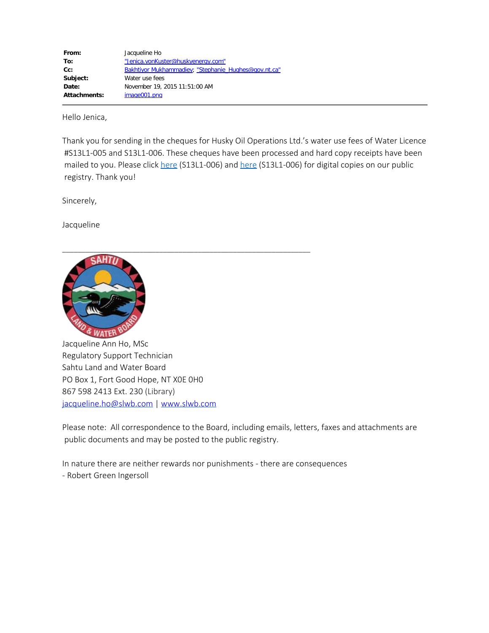| From:               | Jacqueline Ho                                        |
|---------------------|------------------------------------------------------|
| To:                 | "Jenica.vonKuster@huskyenergy.com"                   |
| $Cc$ :              | Bakhtiyor Mukhammadiev; "Stephanie Hughes@gov.nt.ca" |
| Subject:            | Water use fees                                       |
| Date:               | November 19, 2015 11:51:00 AM                        |
| <b>Attachments:</b> | image001.png                                         |

Hello Jenica,

Thank you for sending in the cheques for Husky Oil Operations Ltd.'s water use fees of Water Licence #S13L1-005 and S13L1-006. These cheques have been processed and hard copy receipts have been mailed to you. Please click [here](http://www.mvlwb.ca/Boards/slwb/Registry/2013/S13L1-005%20-%20Husky%20Oil%20Operations%20Limited/S13L1-005%20Water%20Use%20Fees%20-%20Nov%206_15.pdf) (S13L1-006) and [here](http://www.mvlwb.ca/Boards/slwb/Registry/2013/S13L1-006%20-%20Husky%20Oil%20Operations%20Limited/S13L1-006%20water%20use%20fees%20-%20Nov%2006_15.pdf) (S13L1-006) for digital copies on our public registry. Thank you!

Sincerely,

Jacqueline



Jacqueline Ann Ho, MSc Regulatory Support Technician Sahtu Land and Water Board PO Box 1, Fort Good Hope, NT X0E 0H0 867 598 2413 Ext. 230 (Library) [jacqueline.ho@slwb.com](mailto:jacqueline.ho@slwb.com) | [www.slwb.com](http://www.slwb.com/)

Please note: All correspondence to the Board, including emails, letters, faxes and attachments are public documents and may be posted to the public registry.

In nature there are neither rewards nor punishments - there are consequences - Robert Green Ingersoll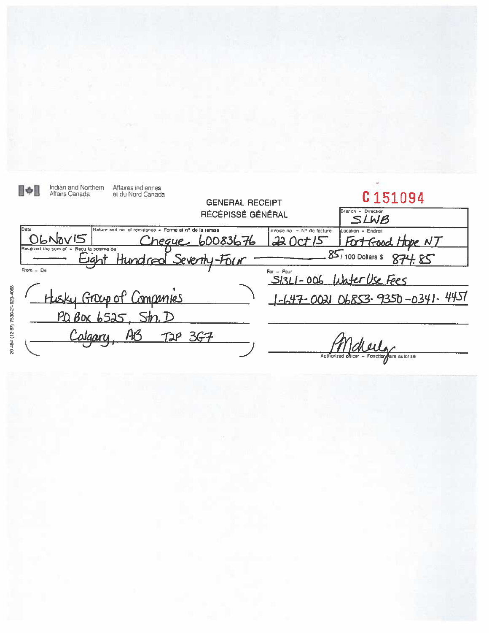Indian and Northern Affaires indiennes<br>Affairs Canada et du Nord Canada  $\lbrack\! \rbrack \cdot \rbrack$ C151094 **GENERAL RECEIPT** Branch - Direction RÉCÉPISSÉ GÉNÉRAL Date Nature and no of remittance - Forme et nº de la remise Invoice noi - N° de facture Location - Endroit OLNOVIS  $220ct$  /5  $F_{\Omega}$ 6008367 heque Frood Hobe NT Received the sum of -Reçu la somme de  $85/100$  Dollars \$ لمصدآ <u>Seventh</u>  $-$ Four From  $=$  De  $For = Pour$  $SISLI - 006$ //ا∕  $F$ Group of Companies 06853-9350-0341-4457 <u>47-0021</u>  $PQB$   $\alpha$   $b525$ ,  $\sin D$ AB T2P 3G7 Authorized of re autorisé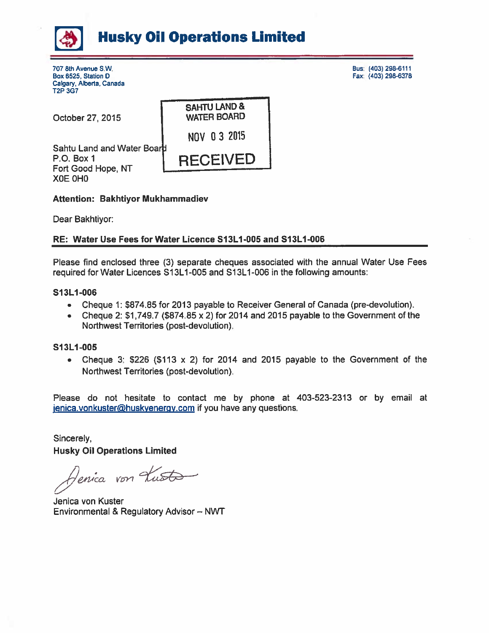

707 8th Avenue S.W. Box 6525, Station D Calgary, Alberta, Canada **T2P 3G7** 

October 27, 2015

**SAHTU LAND & WATER BOARD** NOV 03 2015 **RECEIVED** 

Sahtu Land and Water Board  $P.O.$  Box 1 Fort Good Hope, NT XOE OHO

## **Attention: Bakhtiyor Mukhammadiev**

Dear Bakhtiyor:

## RE: Water Use Fees for Water Licence S13L1-005 and S13L1-006

Please find enclosed three (3) separate cheques associated with the annual Water Use Fees required for Water Licences S13L1-005 and S13L1-006 in the following amounts:

## S13L1-006

- Cheque 1: \$874.85 for 2013 payable to Receiver General of Canada (pre-devolution).  $\bullet$
- $\bullet$ Cheque 2:  $$1,749.7$  (\$874.85 x 2) for 2014 and 2015 payable to the Government of the Northwest Territories (post-devolution).

## S13L1-005

Cheque 3:  $$226$  (\$113 x 2) for 2014 and 2015 payable to the Government of the  $\bullet$ Northwest Territories (post-devolution).

Please do not hesitate to contact me by phone at 403-523-2313 or by email at jenica.vonkuster@huskyenergy.com if you have any questions.

Sincerely, **Husky Oil Operations Limited** 

Tenica von Kusto

Jenica von Kuster Environmental & Regulatory Advisor - NWT

Bus: (403) 298-6111 Fax: (403) 298-6378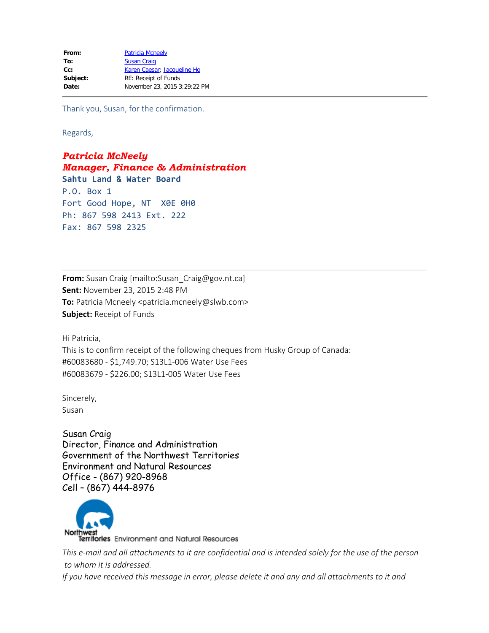Thank you, Susan, for the confirmation.

Regards,

*Patricia McNeely Manager, Finance & Administration* **Sahtu Land & Water Board** P.O. Box 1 Fort Good Hope, NT X0E 0H0 Ph: 867 598 2413 Ext. 222 Fax: 867 598 2325

**From:** Susan Craig [mailto:Susan\_Craig@gov.nt.ca] **Sent:** November 23, 2015 2:48 PM **To:** Patricia Mcneely <patricia.mcneely@slwb.com> **Subject:** Receipt of Funds

Hi Patricia,

This is to confirm receipt of the following cheques from Husky Group of Canada: #60083680 - \$1,749.70; S13L1-006 Water Use Fees #60083679 - \$226.00; S13L1-005 Water Use Fees

Sincerely, Susan

Susan Craig Director, Finance and Administration Government of the Northwest Territories Environment and Natural Resources Office - (867) 920-8968 Cell – (867) 444-8976



*This e-mail and all attachments to it are confidential and is intended solely for the use of the person to whom it is addressed. If you have received this message in error, please delete it and any and all attachments to it and*